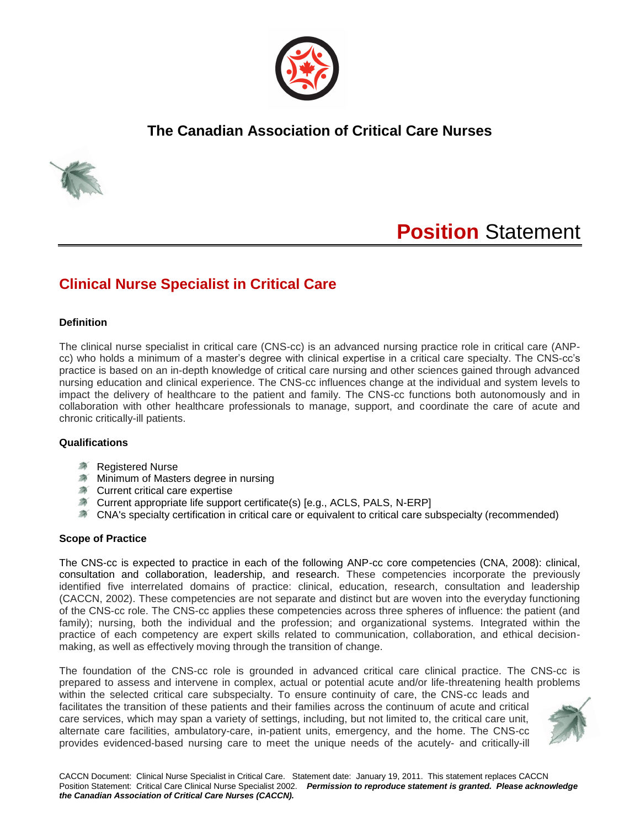

## **The Canadian Association of Critical Care Nurses**



# **Position** Statement

# **Clinical Nurse Specialist in Critical Care**

#### **Definition**

The clinical nurse specialist in critical care (CNS-cc) is an advanced nursing practice role in critical care (ANPcc) who holds a minimum of a master's degree with clinical expertise in a critical care specialty. The CNS-cc's practice is based on an in-depth knowledge of critical care nursing and other sciences gained through advanced nursing education and clinical experience. The CNS-cc influences change at the individual and system levels to impact the delivery of healthcare to the patient and family. The CNS-cc functions both autonomously and in collaboration with other healthcare professionals to manage, support, and coordinate the care of acute and chronic critically-ill patients.

## **Qualifications**

- **Kegistered Nurse**
- **Minimum of Masters degree in nursing**
- Current critical care expertise
- Current appropriate life support certificate(s) [e.g., ACLS, PALS, N-ERP]
- CNA's specialty certification in critical care or equivalent to critical care subspecialty (recommended)

### **Scope of Practice**

The CNS-cc is expected to practice in each of the following ANP-cc core competencies (CNA, 2008): clinical, consultation and collaboration, leadership, and research. These competencies incorporate the previously identified five interrelated domains of practice: clinical, education, research, consultation and leadership (CACCN, 2002). These competencies are not separate and distinct but are woven into the everyday functioning of the CNS-cc role. The CNS-cc applies these competencies across three spheres of influence: the patient (and family); nursing, both the individual and the profession; and organizational systems. Integrated within the practice of each competency are expert skills related to communication, collaboration, and ethical decisionmaking, as well as effectively moving through the transition of change.

The foundation of the CNS-cc role is grounded in advanced critical care clinical practice. The CNS-cc is prepared to assess and intervene in complex, actual or potential acute and/or life-threatening health problems within the selected critical care subspecialty. To ensure continuity of care, the CNS-cc leads and

facilitates the transition of these patients and their families across the continuum of acute and critical care services, which may span a variety of settings, including, but not limited to, the critical care unit, alternate care facilities, ambulatory-care, in-patient units, emergency, and the home. The CNS-cc provides evidenced-based nursing care to meet the unique needs of the acutely- and critically-ill

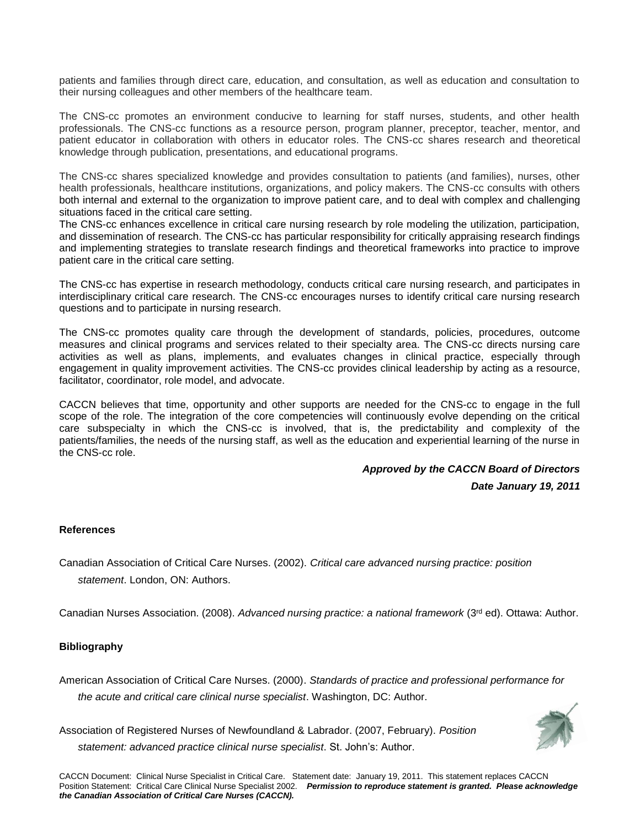patients and families through direct care, education, and consultation, as well as education and consultation to their nursing colleagues and other members of the healthcare team.

The CNS-cc promotes an environment conducive to learning for staff nurses, students, and other health professionals. The CNS-cc functions as a resource person, program planner, preceptor, teacher, mentor, and patient educator in collaboration with others in educator roles. The CNS-cc shares research and theoretical knowledge through publication, presentations, and educational programs.

The CNS-cc shares specialized knowledge and provides consultation to patients (and families), nurses, other health professionals, healthcare institutions, organizations, and policy makers. The CNS-cc consults with others both internal and external to the organization to improve patient care, and to deal with complex and challenging situations faced in the critical care setting.

The CNS-cc enhances excellence in critical care nursing research by role modeling the utilization, participation, and dissemination of research. The CNS-cc has particular responsibility for critically appraising research findings and implementing strategies to translate research findings and theoretical frameworks into practice to improve patient care in the critical care setting.

The CNS-cc has expertise in research methodology, conducts critical care nursing research, and participates in interdisciplinary critical care research. The CNS-cc encourages nurses to identify critical care nursing research questions and to participate in nursing research.

The CNS-cc promotes quality care through the development of standards, policies, procedures, outcome measures and clinical programs and services related to their specialty area. The CNS-cc directs nursing care activities as well as plans, implements, and evaluates changes in clinical practice, especially through engagement in quality improvement activities. The CNS-cc provides clinical leadership by acting as a resource, facilitator, coordinator, role model, and advocate.

CACCN believes that time, opportunity and other supports are needed for the CNS-cc to engage in the full scope of the role. The integration of the core competencies will continuously evolve depending on the critical care subspecialty in which the CNS-cc is involved, that is, the predictability and complexity of the patients/families, the needs of the nursing staff, as well as the education and experiential learning of the nurse in the CNS-cc role.

## *Approved by the CACCN Board of Directors*

*Date January 19, 2011*

#### **References**

Canadian Association of Critical Care Nurses. (2002). *Critical care advanced nursing practice: position statement*. London, ON: Authors.

Canadian Nurses Association. (2008). *Advanced nursing practice: a national framework* (3rd ed). Ottawa: Author.

### **Bibliography**

American Association of Critical Care Nurses. (2000). *Standards of practice and professional performance for the acute and critical care clinical nurse specialist*. Washington, DC: Author.

Association of Registered Nurses of Newfoundland & Labrador. (2007, February). *Position statement: advanced practice clinical nurse specialist*. St. John's: Author.